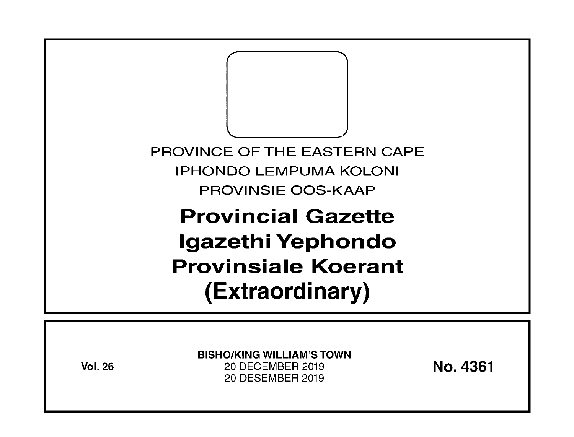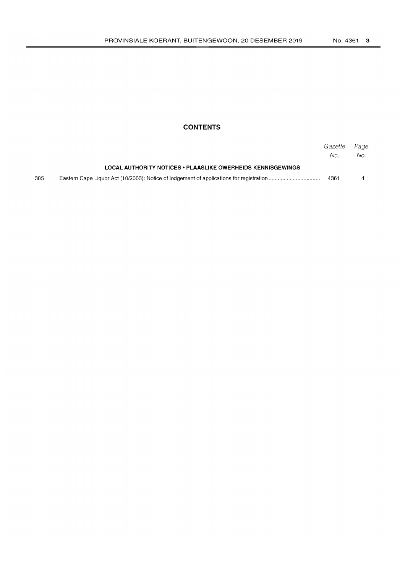# **CONTENTS**

|     |                                                                    | Gazette<br>No. | Page<br>No. |
|-----|--------------------------------------------------------------------|----------------|-------------|
|     | <b>LOCAL AUTHORITY NOTICES • PLAASLIKE OWERHEIDS KENNISGEWINGS</b> |                |             |
| 305 |                                                                    | 4361           | 4           |